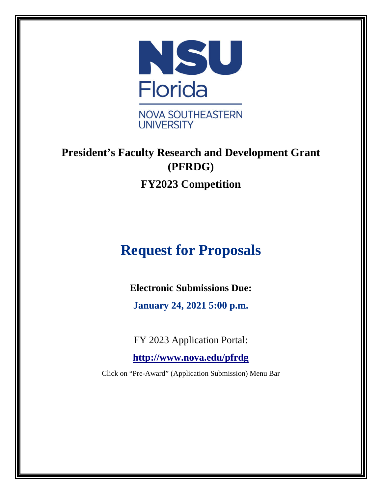

# **President's Faculty Research and Development Grant (PFRDG) FY2023 Competition**

# **Request for Proposals**

**Electronic Submissions Due:**

**January 24, 2021 5:00 p.m.**

FY 2023 Application Portal:

**<http://www.nova.edu/pfrdg>**

Click on "Pre-Award" (Application Submission) Menu Bar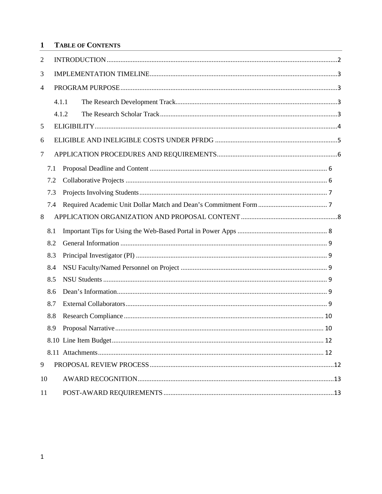#### $\mathbf{1}$ **TABLE OF CONTENTS**

| 2  |       |  |  |  |  |
|----|-------|--|--|--|--|
| 3  |       |  |  |  |  |
| 4  |       |  |  |  |  |
|    | 4.1.1 |  |  |  |  |
|    | 4.1.2 |  |  |  |  |
| 5  |       |  |  |  |  |
| 6  |       |  |  |  |  |
| 7  |       |  |  |  |  |
|    | 7.1   |  |  |  |  |
|    | 7.2   |  |  |  |  |
|    | 7.3   |  |  |  |  |
|    | 7.4   |  |  |  |  |
| 8  |       |  |  |  |  |
|    | 8.1   |  |  |  |  |
|    | 8.2   |  |  |  |  |
|    | 8.3   |  |  |  |  |
|    | 8.4   |  |  |  |  |
|    | 8.5   |  |  |  |  |
|    | 8.6   |  |  |  |  |
|    | 8.7   |  |  |  |  |
|    | 8.8   |  |  |  |  |
|    | 8.9   |  |  |  |  |
|    |       |  |  |  |  |
|    |       |  |  |  |  |
| 9  |       |  |  |  |  |
| 10 |       |  |  |  |  |
| 11 |       |  |  |  |  |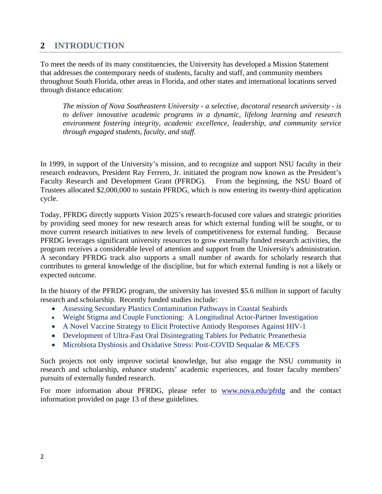# <span id="page-2-0"></span>**2 INTRODUCTION**

To meet the needs of its many constituencies, the University has developed a Mission Statement that addresses the contemporary needs of students, faculty and staff, and community members throughout South Florida, other areas in Florida, and other states and international locations served through distance education:

*The mission of Nova Southeastern University - a selective, docotoral research university - is to deliver innovative academic programs in a dynamic, lifelong learning and research environment fostering integrity, academic excellence, leadership, and community service through engaged students, faculty, and staff.*

In 1999, in support of the University's mission, and to recognize and support NSU faculty in their research endeavors, President Ray Ferrero, Jr. initiated the program now known as the President's Faculty Research and Development Grant (PFRDG). From the beginning, the NSU Board of Trustees allocated \$2,000,000 to sustain PFRDG, which is now entering its twenty-third application cycle.

Today, PFRDG directly supports Vision 2025's research-focused core values and strategic priorities by providing seed money for new research areas for which external funding will be sought, or to move current research initiatives to new levels of competitiveness for external funding. Because PFRDG leverages significant university resources to grow externally funded research activities, the program receives a considerable level of attention and support from the University's administration. A secondary PFRDG track also supports a small number of awards for scholarly research that contributes to general knowledge of the discipline, but for which external funding is not a likely or expected outcome.

In the history of the PFRDG program, the university has invested \$5.6 million in support of faculty research and scholarship. Recently funded studies include:

- Assessing Secondary Plastics Contamination Pathways in Coastal Seabirds
- Weight Stigma and Couple Functioning: A Longitudinal Actor-Partner Investigation
- A Novel Vaccine Strategy to Elicit Protective Antiody Responses Against HIV-1
- Development of Ultra-Fast Oral Disintegrating Tablets for Pediatric Preanethesia
- Microbiota Dysbiosis and Oxidative Stress: Post-COVID Sequalae & ME/CFS

Such projects not only improve societal knowledge, but also engage the NSU community in research and scholarship, enhance students' academic experiences, and foster faculty members' pursuits of externally funded research.

For more information about PFRDG, please refer to [www.nova.edu/pfrdg](http://www.nova.edu/pfrdg) and the contact information provided on page 13 of these guidelines.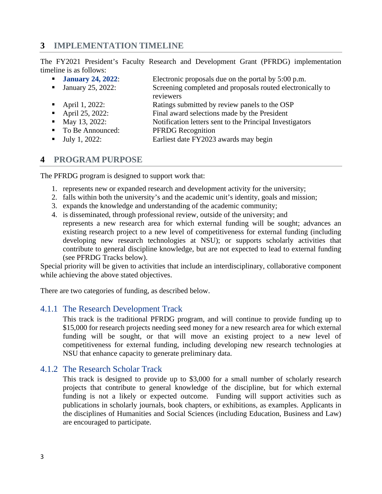## <span id="page-3-0"></span>**3 IMPLEMENTATION TIMELINE**

The FY2021 President's Faculty Research and Development Grant (PFRDG) implementation timeline is as follows:

| <b>January 24, 2022:</b>     | Electronic proposals due on the portal by 5:00 p.m.        |
|------------------------------|------------------------------------------------------------|
| <b>January 25, 2022:</b>     | Screening completed and proposals routed electronically to |
|                              | reviewers                                                  |
| • April 1, 2022:             | Ratings submitted by review panels to the OSP              |
| • April 25, 2022:            | Final award selections made by the President               |
| • May 13, 2022:              | Notification letters sent to the Principal Investigators   |
| • To Be Announced:           | <b>PFRDG</b> Recognition                                   |
| $\blacksquare$ July 1, 2022: | Earliest date FY2023 awards may begin                      |

#### <span id="page-3-1"></span>**4 PROGRAM PURPOSE**

The PFRDG program is designed to support work that:

- 1. represents new or expanded research and development activity for the university;
- 2. falls within both the university's and the academic unit's identity, goals and mission;
- 3. expands the knowledge and understanding of the academic community;
- 4. is disseminated, through professional review, outside of the university; and represents a new research area for which external funding will be sought; advances an existing research project to a new level of competitiveness for external funding (including developing new research technologies at NSU); or supports scholarly activities that contribute to general discipline knowledge, but are not expected to lead to external funding (see PFRDG Tracks below).

Special priority will be given to activities that include an interdisciplinary, collaborative component while achieving the above stated objectives.

There are two categories of funding, as described below.

#### <span id="page-3-2"></span>4.1.1 The Research Development Track

This track is the traditional PFRDG program, and will continue to provide funding up to \$15,000 for research projects needing seed money for a new research area for which external funding will be sought, or that will move an existing project to a new level of competitiveness for external funding, including developing new research technologies at NSU that enhance capacity to generate preliminary data.

#### <span id="page-3-3"></span>4.1.2 The Research Scholar Track

This track is designed to provide up to \$3,000 for a small number of scholarly research projects that contribute to general knowledge of the discipline, but for which external funding is not a likely or expected outcome. Funding will support activities such as publications in scholarly journals, book chapters, or exhibitions, as examples. Applicants in the disciplines of Humanities and Social Sciences (including Education, Business and Law) are encouraged to participate.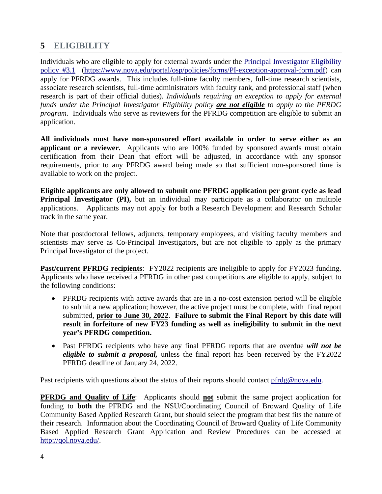# <span id="page-4-0"></span>**5 ELIGIBILITY**

Individuals who are eligible to apply for external awards under the [Principal Investigator Eligibility](http://www.nova.edu/portal/osp/policies/forms/PI-exception-approval-form.pdf)  [policy](http://www.nova.edu/portal/osp/policies/forms/PI-exception-approval-form.pdf) #3.1 [\(https://www.nova.edu/portal/osp/policies/forms/PI-exception-approval-form.pdf\)](https://www.nova.edu/portal/osp/policies/forms/PI-exception-approval-form.pdf) can apply for PFRDG awards. This includes full-time faculty members, full-time research scientists, associate research scientists, full-time administrators with faculty rank, and professional staff (when research is part of their official duties). *Individuals requiring an exception to apply for external funds under the Principal Investigator Eligibility policy are not eligible to apply to the PFRDG program.* Individuals who serve as reviewers for the PFRDG competition are eligible to submit an application.

**All individuals must have non-sponsored effort available in order to serve either as an applicant or a reviewer.** Applicants who are 100% funded by sponsored awards must obtain certification from their Dean that effort will be adjusted, in accordance with any sponsor requirements, prior to any PFRDG award being made so that sufficient non-sponsored time is available to work on the project.

**Eligible applicants are only allowed to submit one PFRDG application per grant cycle as lead Principal Investigator (PI),** but an individual may participate as a collaborator on multiple applications. Applicants may not apply for both a Research Development and Research Scholar track in the same year.

Note that postdoctoral fellows, adjuncts, temporary employees, and visiting faculty members and scientists may serve as Co-Principal Investigators, but are not eligible to apply as the primary Principal Investigator of the project.

**Past/current PFRDG recipients**: FY2022 recipients are ineligible to apply for FY2023 funding. Applicants who have received a PFRDG in other past competitions are eligible to apply, subject to the following conditions:

- PFRDG recipients with active awards that are in a no-cost extension period will be eligible to submit a new application; however, the active project must be complete, with final report submitted, **prior to June 30, 2022**. **Failure to submit the Final Report by this date will result in forfeiture of new FY23 funding as well as ineligibility to submit in the next year's PFRDG competition.**
- Past PFRDG recipients who have any final PFRDG reports that are overdue *will not be eligible to submit a proposal,* unless the final report has been received by the FY2022 PFRDG deadline of January 24, 2022.

Past recipients with questions about the status of their reports should contact [pfrdg@nova.edu.](mailto:pfrdg@nova.edu)

**PFRDG and Quality of Life:** Applicants should **not** submit the same project application for funding to **both** the PFRDG and the NSU/Coordinating Council of Broward Quality of Life Community Based Applied Research Grant, but should select the program that best fits the nature of their research. Information about the Coordinating Council of Broward Quality of Life Community Based Applied Research Grant Application and Review Procedures can be accessed at [http://qol.nova.edu/.](http://qol.nova.edu/)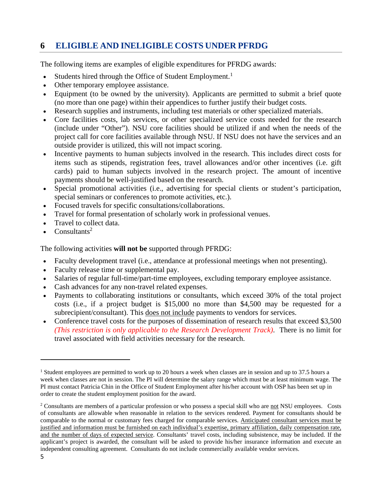# <span id="page-5-0"></span>**6 ELIGIBLE AND INELIGIBLE COSTS UNDER PFRDG**

The following items are examples of eligible expenditures for PFRDG awards:

- Students hired through the Office of Student Employment.<sup>[1](#page-5-1)</sup>
- Other temporary employee assistance.
- Equipment (to be owned by the university). Applicants are permitted to submit a brief quote (no more than one page) within their appendices to further justify their budget costs.
- Research supplies and instruments, including test materials or other specialized materials.
- Core facilities costs, lab services, or other specialized service costs needed for the research (include under "Other"). NSU core facilities should be utilized if and when the needs of the project call for core facilities available through NSU. If NSU does not have the services and an outside provider is utilized, this will not impact scoring.
- Incentive payments to human subjects involved in the research. This includes direct costs for items such as stipends, registration fees, travel allowances and/or other incentives (i.e. gift cards) paid to human subjects involved in the research project. The amount of incentive payments should be well-justified based on the research.
- Special promotional activities (i.e., advertising for special clients or student's participation, special seminars or conferences to promote activities, etc.).
- Focused travels for specific consultations/collaborations.
- Travel for formal presentation of scholarly work in professional venues.
- Travel to collect data.
- $Consultants<sup>2</sup>$

The following activities **will not be** supported through PFRDG:

- Faculty development travel (i.e., attendance at professional meetings when not presenting).
- Faculty release time or supplemental pay.
- Salaries of regular full-time/part-time employees, excluding temporary employee assistance.
- Cash advances for any non-travel related expenses.
- Payments to collaborating institutions or consultants, which exceed 30% of the total project costs (i.e., if a project budget is \$15,000 no more than \$4,500 may be requested for a subrecipient/consultant). This does not include payments to vendors for services.
- Conference travel costs for the purposes of dissemination of research results that exceed \$3,500 *(This restriction is only applicable to the Research Development Track)*. There is no limit for travel associated with field activities necessary for the research.

<span id="page-5-1"></span><sup>&</sup>lt;sup>1</sup> Student employees are permitted to work up to 20 hours a week when classes are in session and up to 37.5 hours a week when classes are not in session. The PI will determine the salary range which must be at least minimum wage. The PI must contact Patricia Chin in the Office of Student Employment after his/her account with OSP has been set up in order to create the student employment position for the award.

 $2$  Consultants are members of a particular profession or who possess a special skill who are not NSU employees. Costs of consultants are allowable when reasonable in relation to the services rendered. Payment for consultants should be comparable to the normal or customary fees charged for comparable services. Anticipated consultant services must be justified and information must be furnished on each individual's expertise, primary affiliation, daily compensation rate, and the number of days of expected service. Consultants' travel costs, including subsistence, may be included. If the applicant's project is awarded, the consultant will be asked to provide his/her insurance information and execute an independent consulting agreement. Consultants do not include commercially available vendor services.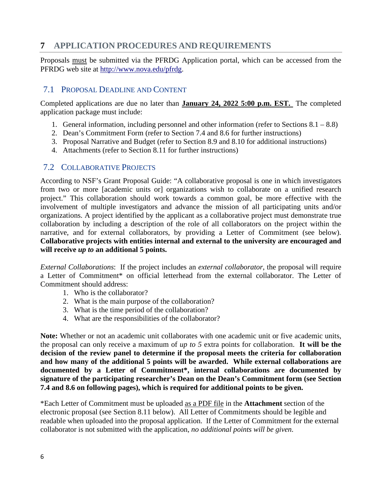# <span id="page-6-0"></span>**7 APPLICATION PROCEDURES AND REQUIREMENTS**

Proposals must be submitted via the PFRDG Application portal, which can be accessed from the PFRDG web site at [http://www.nova.edu/pfrdg.](http://www.nova.edu/academic-affairs/faculty-research-grant/index.html)

### <span id="page-6-1"></span>7.1 PROPOSAL DEADLINE AND CONTENT

Completed applications are due no later than **January 24, 2022 5:00 p.m. EST.** The completed application package must include:

- 1. General information, including personnel and other information (refer to Sections  $8.1 8.8$ )
- 2. Dean's Commitment Form (refer to Section 7.4 and 8.6 for further instructions)
- 3. Proposal Narrative and Budget (refer to Section 8.9 and 8.10 for additional instructions)
- 4. Attachments (refer to Section 8.11 for further instructions)

#### <span id="page-6-2"></span>7.2 COLLABORATIVE PROJECTS

According to NSF's Grant Proposal Guide: "A collaborative proposal is one in which investigators from two or more [academic units or] organizations wish to collaborate on a unified research project." This collaboration should work towards a common goal, be more effective with the involvement of multiple investigators and advance the mission of all participating units and/or organizations. A project identified by the applicant as a collaborative project must demonstrate true collaboration by including a description of the role of all collaborators on the project within the narrative, and for external collaborators, by providing a Letter of Commitment (see below). **Collaborative projects with entities internal and external to the university are encouraged and will receive** *up to* **an additional 5 points.** 

*External Collaborations*: If the project includes an *external collaborator*, the proposal will require a Letter of Commitment\* on official letterhead from the external collaborator. The Letter of Commitment should address:

- 1. Who is the collaborator?
- 2. What is the main purpose of the collaboration?
- 3. What is the time period of the collaboration?
- 4. What are the responsibilities of the collaborator?

Note: Whether or not an academic unit collaborates with one academic unit or five academic units, the proposal can only receive a maximum of *up to 5* extra points for collaboration. **It will be the decision of the review panel to determine if the proposal meets the criteria for collaboration and how many of the additional 5 points will be awarded. While external collaborations are documented by a Letter of Commitment\*, internal collaborations are documented by signature of the participating researcher's Dean on the Dean's Commitment form (see Section 7.4 and 8.6 on following pages), which is required for additional points to be given.**

\*Each Letter of Commitment must be uploaded as a PDF file in the **Attachment** section of the electronic proposal (see Section 8.11 below). All Letter of Commitments should be legible and readable when uploaded into the proposal application. If the Letter of Commitment for the external collaborator is not submitted with the application, *no additional points will be given*.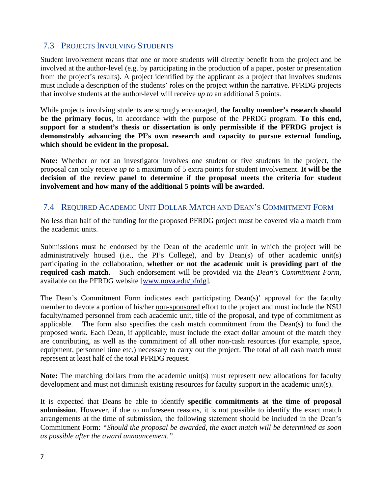## <span id="page-7-0"></span>7.3 PROJECTS INVOLVING STUDENTS

Student involvement means that one or more students will directly benefit from the project and be involved at the author-level (e.g. by participating in the production of a paper, poster or presentation from the project's results). A project identified by the applicant as a project that involves students must include a description of the students' roles on the project within the narrative. PFRDG projects that involve students at the author-level will receive *up to* an additional 5 points.

While projects involving students are strongly encouraged, **the faculty member's research should be the primary focus**, in accordance with the purpose of the PFRDG program. **To this end, support for a student's thesis or dissertation is only permissible if the PFRDG project is demonstrably advancing the PI's own research and capacity to pursue external funding, which should be evident in the proposal.**

**Note:** Whether or not an investigator involves one student or five students in the project, the proposal can only receive *up to* a maximum of 5 extra points for student involvement. **It will be the decision of the review panel to determine if the proposal meets the criteria for student involvement and how many of the additional 5 points will be awarded.**

#### <span id="page-7-1"></span>7.4 REQUIRED ACADEMIC UNIT DOLLAR MATCH AND DEAN'S COMMITMENT FORM

No less than half of the funding for the proposed PFRDG project must be covered via a match from the academic units.

Submissions must be endorsed by the Dean of the academic unit in which the project will be administratively housed (i.e., the PI's College), and by Dean(s) of other academic unit(s) participating in the collaboration, **whether or not the academic unit is providing part of the required cash match.** Such endorsement will be provided via the *Dean's Commitment Form,*  available on the PFRDG website [\[www.nova.edu/pfrdg\]](http://www.nova.edu/pfrdg).

The Dean's Commitment Form indicates each participating Dean(s)' approval for the faculty member to devote a portion of his/her non-sponsored effort to the project and must include the NSU faculty/named personnel from each academic unit, title of the proposal, and type of commitment as applicable. The form also specifies the cash match commitment from the Dean(s) to fund the proposed work. Each Dean, if applicable, must include the exact dollar amount of the match they are contributing, as well as the commitment of all other non-cash resources (for example, space, equipment, personnel time etc.) necessary to carry out the project. The total of all cash match must represent at least half of the total PFRDG request.

**Note:** The matching dollars from the academic unit(s) must represent new allocations for faculty development and must not diminish existing resources for faculty support in the academic unit(s).

It is expected that Deans be able to identify **specific commitments at the time of proposal submission**. However, if due to unforeseen reasons, it is not possible to identify the exact match arrangements at the time of submission, the following statement should be included in the Dean's Commitment Form: *"Should the proposal be awarded, the exact match will be determined as soon as possible after the award announcement."*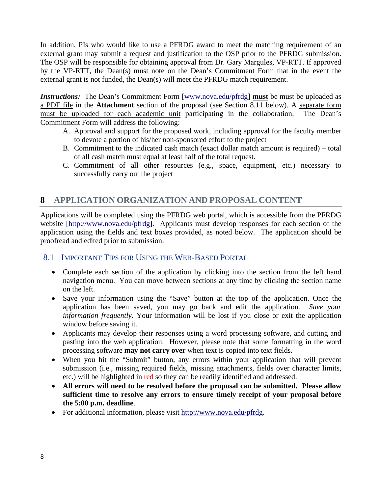In addition, PIs who would like to use a PFRDG award to meet the matching requirement of an external grant may submit a request and justification to the OSP prior to the PFRDG submission. The OSP will be responsible for obtaining approval from Dr. Gary Margules, VP-RTT. If approved by the VP-RTT, the Dean(s) must note on the Dean's Commitment Form that in the event the external grant is not funded, the Dean(s) will meet the PFRDG match requirement.

*Instructions:* The Dean's Commitment Form [\[www.nova.edu/pfrdg\]](http://www.nova.edu/pfrdg) **must** be must be uploaded as a PDF file in the **Attachment** section of the proposal (see Section 8.11 below). A separate form must be uploaded for each academic unit participating in the collaboration. The Dean's Commitment Form will address the following:

- A. Approval and support for the proposed work, including approval for the faculty member to devote a portion of his/her non-sponsored effort to the project
- B. Commitment to the indicated cash match (exact dollar match amount is required) total of all cash match must equal at least half of the total request.
- C. Commitment of all other resources (e.g., space, equipment, etc.) necessary to successfully carry out the project

# <span id="page-8-0"></span>**8 APPLICATION ORGANIZATION AND PROPOSAL CONTENT**

Applications will be completed using the PFRDG web portal, which is accessible from the PFRDG website [\[http://www.nova.edu/pfrdg\]](http://www.nova.edu/pfrdg). Applicants must develop responses for each section of the application using the fields and text boxes provided, as noted below. The application should be proofread and edited prior to submission.

#### <span id="page-8-1"></span>8.1 IMPORTANT TIPS FOR USING THE WEB-BASED PORTAL

- Complete each section of the application by clicking into the section from the left hand navigation menu. You can move between sections at any time by clicking the section name on the left.
- Save your information using the "Save" button at the top of the application. Once the application has been saved, you may go back and edit the application. *Save your information frequently.* Your information will be lost if you close or exit the application window before saving it.
- Applicants may develop their responses using a word processing software, and cutting and pasting into the web application. However, please note that some formatting in the word processing software **may not carry over** when text is copied into text fields.
- When you hit the "Submit" button, any errors within your application that will prevent submission (i.e., missing required fields, missing attachments, fields over character limits, etc.) will be highlighted in red so they can be readily identified and addressed.
- **All errors will need to be resolved before the proposal can be submitted. Please allow sufficient time to resolve any errors to ensure timely receipt of your proposal before the 5:00 p.m. deadline**.
- For additional information, please visit [http://www.nova.edu/pfrdg.](http://www.nova.edu/pfrdg)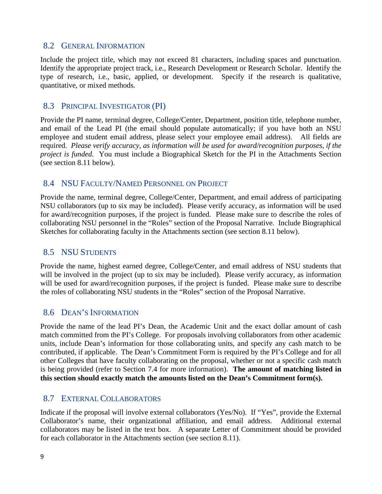#### <span id="page-9-0"></span>8.2 GENERAL INFORMATION

Include the project title, which may not exceed 81 characters, including spaces and punctuation. Identify the appropriate project track, i.e., Research Development or Research Scholar. Identify the type of research, i.e., basic, applied, or development. Specify if the research is qualitative, quantitative, or mixed methods.

#### <span id="page-9-1"></span>8.3 PRINCIPAL INVESTIGATOR (PI)

Provide the PI name, terminal degree, College/Center, Department, position title, telephone number, and email of the Lead PI (the email should populate automatically; if you have both an NSU employee and student email address, please select your employee email address). All fields are required. *Please verify accuracy, as information will be used for award/recognition purposes, if the project is funded.* You must include a Biographical Sketch for the PI in the Attachments Section (see section 8.11 below).

#### <span id="page-9-2"></span>8.4 NSU FACULTY/NAMED PERSONNEL ON PROJECT

Provide the name, terminal degree, College/Center, Department, and email address of participating NSU collaborators (up to six may be included). Please verify accuracy, as information will be used for award/recognition purposes, if the project is funded. Please make sure to describe the roles of collaborating NSU personnel in the "Roles" section of the Proposal Narrative. Include Biographical Sketches for collaborating faculty in the Attachments section (see section 8.11 below).

#### <span id="page-9-3"></span>8.5 NSU STUDENTS

Provide the name, highest earned degree, College/Center, and email address of NSU students that will be involved in the project (up to six may be included). Please verify accuracy, as information will be used for award/recognition purposes, if the project is funded. Please make sure to describe the roles of collaborating NSU students in the "Roles" section of the Proposal Narrative.

#### <span id="page-9-4"></span>8.6 DEAN'S INFORMATION

Provide the name of the lead PI's Dean, the Academic Unit and the exact dollar amount of cash match committed from the PI's College. For proposals involving collaborators from other academic units, include Dean's information for those collaborating units, and specify any cash match to be contributed, if applicable. The Dean's Commitment Form is required by the PI's College and for all other Colleges that have faculty collaborating on the proposal, whether or not a specific cash match is being provided (refer to Section 7.4 for more information). **The amount of matching listed in this section should exactly match the amounts listed on the Dean's Commitment form(s).**

#### <span id="page-9-5"></span>8.7 EXTERNAL COLLABORATORS

Indicate if the proposal will involve external collaborators (Yes/No). If "Yes", provide the External Collaborator's name, their organizational affiliation, and email address. Additional external collaborators may be listed in the text box. A separate Letter of Commitment should be provided for each collaborator in the Attachments section (see section 8.11).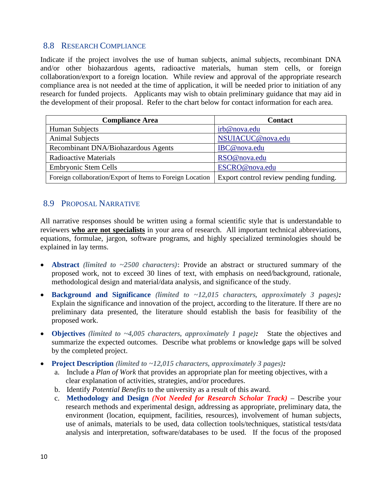#### <span id="page-10-0"></span>8.8 RESEARCH COMPLIANCE

Indicate if the project involves the use of human subjects, animal subjects, recombinant DNA and/or other biohazardous agents, radioactive materials, human stem cells, or foreign collaboration/export to a foreign location*.* While review and approval of the appropriate research compliance area is not needed at the time of application, it will be needed prior to initiation of any research for funded projects. Applicants may wish to obtain preliminary guidance that may aid in the development of their proposal. Refer to the chart below for contact information for each area.

| <b>Compliance Area</b>                                    | <b>Contact</b>                         |
|-----------------------------------------------------------|----------------------------------------|
| Human Subjects                                            | irb@nova.edu                           |
| <b>Animal Subjects</b>                                    | NSUIACUC@nova.edu                      |
| Recombinant DNA/Biohazardous Agents                       | IBC@nova.edu                           |
| Radioactive Materials                                     | RSO@nova.edu                           |
| <b>Embryonic Stem Cells</b>                               | ESCRO@nova.edu                         |
| Foreign collaboration/Export of Items to Foreign Location | Export control review pending funding. |

# <span id="page-10-1"></span>8.9 PROPOSAL NARRATIVE

All narrative responses should be written using a formal scientific style that is understandable to reviewers **who are not specialists** in your area of research. All important technical abbreviations, equations, formulae, jargon, software programs, and highly specialized terminologies should be explained in lay terms.

- **Abstract** *(limited to ~2500 characters)***:** Provide an abstract or structured summary of the proposed work, not to exceed 30 lines of text, with emphasis on need/background, rationale, methodological design and material/data analysis, and significance of the study.
- **Background and Significance** *(limited to ~12,015 characters, approximately 3 pages):* Explain the significance and innovation of the project, according to the literature. If there are no preliminary data presented, the literature should establish the basis for feasibility of the proposed work.
- **Objectives** *(limited to ~4,005 characters, approximately 1 page):* State the objectives and summarize the expected outcomes. Describe what problems or knowledge gaps will be solved by the completed project.
- **Project Description** *(limited to ~12,015 characters, approximately 3 pages):*
	- a. Include a *Plan of Work* that provides an appropriate plan for meeting objectives, with a clear explanation of activities, strategies, and/or procedures.
	- b. Identify *Potential Benefits* to the university as a result of this award.
	- c. **Methodology and Design** *(Not Needed for Research Scholar Track)* Describe your research methods and experimental design, addressing as appropriate, preliminary data, the environment (location, equipment, facilities, resources)*,* involvement of human subjects, use of animals, materials to be used, data collection tools/techniques, statistical tests/data analysis and interpretation, software/databases to be used. If the focus of the proposed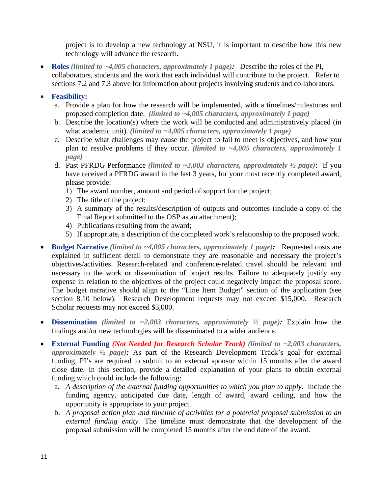project is to develop a new technology at NSU, it is important to describe how this new technology will advance the research.

• **Roles** *(limited to ~4,005 characters, approximately 1 page):* Describe the roles of the PI, collaborators, students and the work that each individual will contribute to the project. Refer to sections 7.2 and 7.3 above for information about projects involving students and collaborators.

#### • **Feasibility:**

- a. Provide a plan for how the research will be implemented, with a timelines/milestones and proposed completion date. *(limited to ~4,005 characters, approximately 1 page)*
- b. Describe the location(s) where the work will be conducted and administratively placed (in what academic unit). *(limited to ~4,005 characters, approximately 1 page)*
- c. Describe what challenges may cause the project to fail to meet is objectives, and how you plan to resolve problems if they occur. *(limited to ~4,005 characters, approximately 1 page)*
- d. Past PFRDG Performance *(limited to ~2,003 characters, approximately ½ page)*: If you have received a PFRDG award in the last 3 years, for your most recently completed award, please provide:
	- 1) The award number, amount and period of support for the project;
	- 2) The title of the project;
	- 3) A summary of the results/description of outputs and outcomes (include a copy of the Final Report submitted to the OSP as an attachment);
	- 4) Publications resulting from the award;
	- 5) If appropriate, a description of the completed work's relationship to the proposed work.
- **Budget Narrative** *(limited to ~4,005 characters, approximately 1 page):* Requested costs are explained in sufficient detail to demonstrate they are reasonable and necessary the project's objectives/activities. Research-related and conference-related travel should be relevant and necessary to the work or dissemination of project results. Failure to adequately justify any expense in relation to the objectives of the project could negatively impact the proposal score. The budget narrative should align to the "Line Item Budget" section of the application (see section 8.10 below). Research Development requests may not exceed \$15,000. Research Scholar requests may not exceed \$3,000.
- **Dissemination** *(limited to ~2,003 characters, approximately ½ page):* Explain how the findings and/or new technologies will be disseminated to a wider audience.
- **External Funding** *(Not Needed for Research Scholar Track) (limited to ~2,003 characters, approximately ½ page):* As part of the Research Development Track's goal for external funding, PI's are required to submit to an external sponsor within 15 months after the award close date. In this section, provide a detailed explanation of your plans to obtain external funding which could include the following:
	- a. *A description of the external funding opportunities to which you plan to apply.* Include the funding agency, anticipated due date, length of award, award ceiling, and how the opportunity is appropriate to your project.
	- b. *A proposal action plan and timeline of activities for a potential proposal submission to an external funding entity.* The timeline must demonstrate that the development of the proposal submission will be completed 15 months after the end date of the award.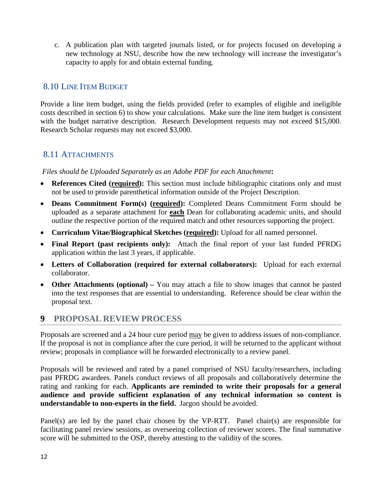c. A publication plan with targeted journals listed, or for projects focused on developing a new technology at NSU, describe how the new technology will increase the investigator's capacity to apply for and obtain external funding.

# <span id="page-12-0"></span>8.10 LINE ITEM BUDGET

Provide a line item budget, using the fields provided (refer to examples of eligible and ineligible costs described in section 6) to show your calculations. Make sure the line item budget is consistent with the budget narrative description. Research Development requests may not exceed \$15,000. Research Scholar requests may not exceed \$3,000.

# <span id="page-12-1"></span>8.11 ATTACHMENTS

*Files should be Uploaded Separately as an Adobe PDF for each Attachment***:**

- **References Cited (required):** This section must include bibliographic citations only and must not be used to provide parenthetical information outside of the Project Description.
- **Deans Commitment Form(s) (required):** Completed Deans Commitment Form should be uploaded as a separate attachment for **each** Dean for collaborating academic units, and should outline the respective portion of the required match and other resources supporting the project.
- **Curriculum Vitae/Biographical Sketches (required):** Upload for all named personnel.
- **Final Report (past recipients only):** Attach the final report of your last funded PFRDG application within the last 3 years, if applicable.
- **Letters of Collaboration (required for external collaborators):** Upload for each external collaborator.
- **Other Attachments (optional) –** You may attach a file to show images that cannot be pasted into the text responses that are essential to understanding. Reference should be clear within the proposal text.

# <span id="page-12-2"></span>**9 PROPOSAL REVIEW PROCESS**

Proposals are screened and a 24 hour cure period may be given to address issues of non-compliance. If the proposal is not in compliance after the cure period, it will be returned to the applicant without review; proposals in compliance will be forwarded electronically to a review panel.

Proposals will be reviewed and rated by a panel comprised of NSU faculty/researchers, including past PFRDG awardees. Panels conduct reviews of all proposals and collaboratively determine the rating and ranking for each. **Applicants are reminded to write their proposals for a general audience and provide sufficient explanation of any technical information so content is understandable to non-experts in the field.** Jargon should be avoided.

Panel(s) are led by the panel chair chosen by the VP-RTT. Panel chair(s) are responsible for facilitating panel review sessions, as overseeing collection of reviewer scores. The final summative score will be submitted to the OSP, thereby attesting to the validity of the scores.